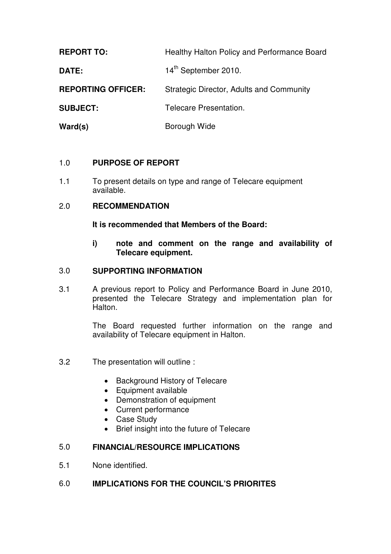**REPORT TO:** Healthy Halton Policy and Performance Board **DATE:** 14<sup>th</sup> September 2010. **REPORTING OFFICER:** Strategic Director, Adults and Community **SUBJECT:** Telecare Presentation. Ward(s) **Borough Wide** 

## 1.0 **PURPOSE OF REPORT**

1.1 To present details on type and range of Telecare equipment available.

#### 2.0 **RECOMMENDATION**

**It is recommended that Members of the Board:** 

**i) note and comment on the range and availability of Telecare equipment.** 

#### 3.0 **SUPPORTING INFORMATION**

3.1 A previous report to Policy and Performance Board in June 2010, presented the Telecare Strategy and implementation plan for Halton.

> The Board requested further information on the range and availability of Telecare equipment in Halton.

- 3.2 The presentation will outline :
	- Background History of Telecare
	- Equipment available
	- Demonstration of equipment
	- Current performance
	- Case Study
	- Brief insight into the future of Telecare

## 5.0 **FINANCIAL/RESOURCE IMPLICATIONS**

5.1 None identified.

#### 6.0 **IMPLICATIONS FOR THE COUNCIL'S PRIORITES**